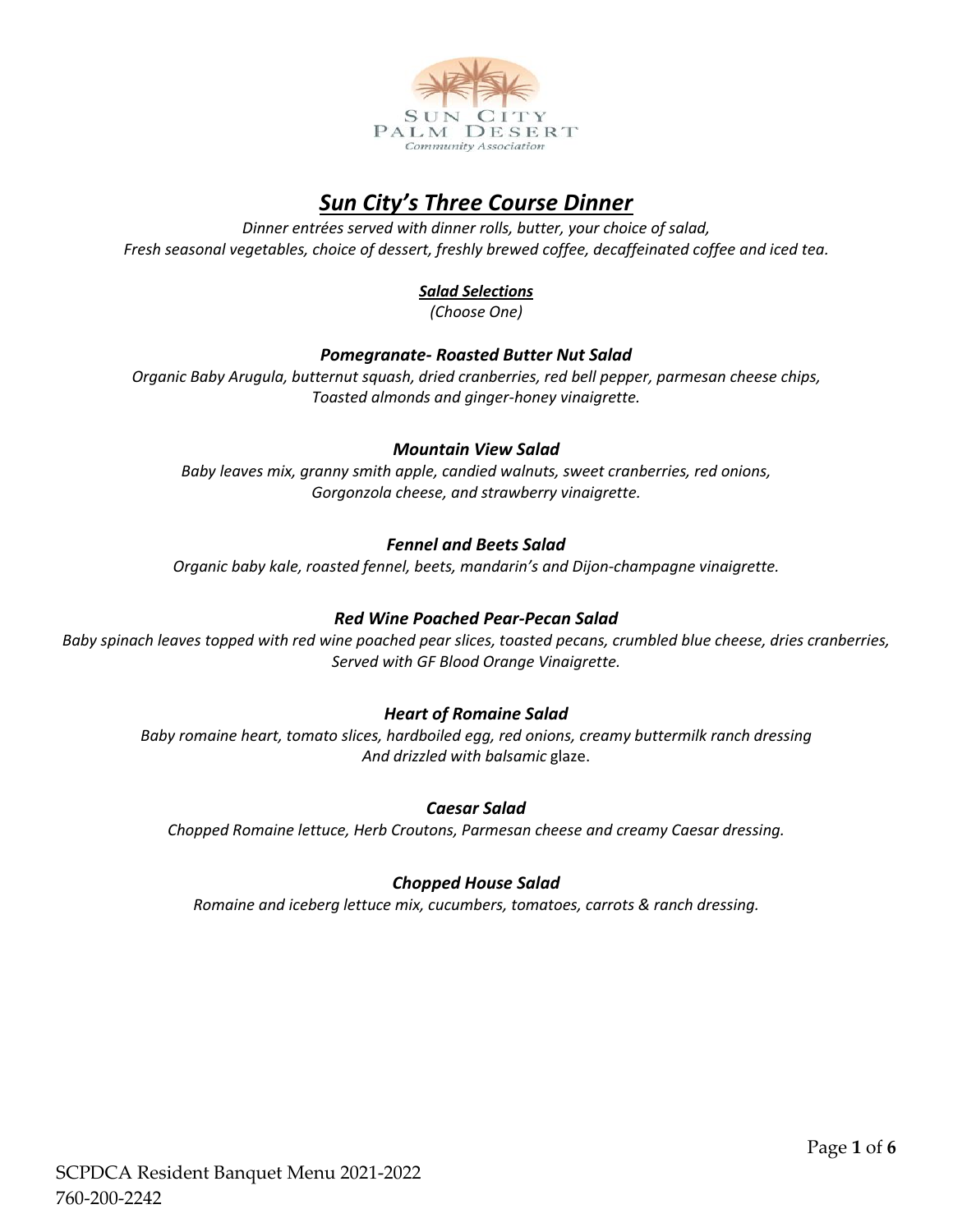

# *Sun City's Three Course Dinner*

*Dinner entrées served with dinner rolls, butter, your choice of salad, Fresh seasonal vegetables, choice of dessert, freshly brewed coffee, decaffeinated coffee and iced tea.*

### *Salad Selections*

*(Choose One)*

#### *Pomegranate- Roasted Butter Nut Salad*

*Organic Baby Arugula, butternut squash, dried cranberries, red bell pepper, parmesan cheese chips, Toasted almonds and ginger-honey vinaigrette.* 

#### *Mountain View Salad*

*Baby leaves mix, granny smith apple, candied walnuts, sweet cranberries, red onions, Gorgonzola cheese, and strawberry vinaigrette.*

#### *Fennel and Beets Salad*

*Organic baby kale, roasted fennel, beets, mandarin's and Dijon-champagne vinaigrette.*

#### *Red Wine Poached Pear-Pecan Salad*

*Baby spinach leaves topped with red wine poached pear slices, toasted pecans, crumbled blue cheese, dries cranberries, Served with GF Blood Orange Vinaigrette.*

#### *Heart of Romaine Salad*

*Baby romaine heart, tomato slices, hardboiled egg, red onions, creamy buttermilk ranch dressing And drizzled with balsamic* glaze.

#### *Caesar Salad*

*Chopped Romaine lettuce, Herb Croutons, Parmesan cheese and creamy Caesar dressing.*

#### *Chopped House Salad*

*Romaine and iceberg lettuce mix, cucumbers, tomatoes, carrots & ranch dressing.*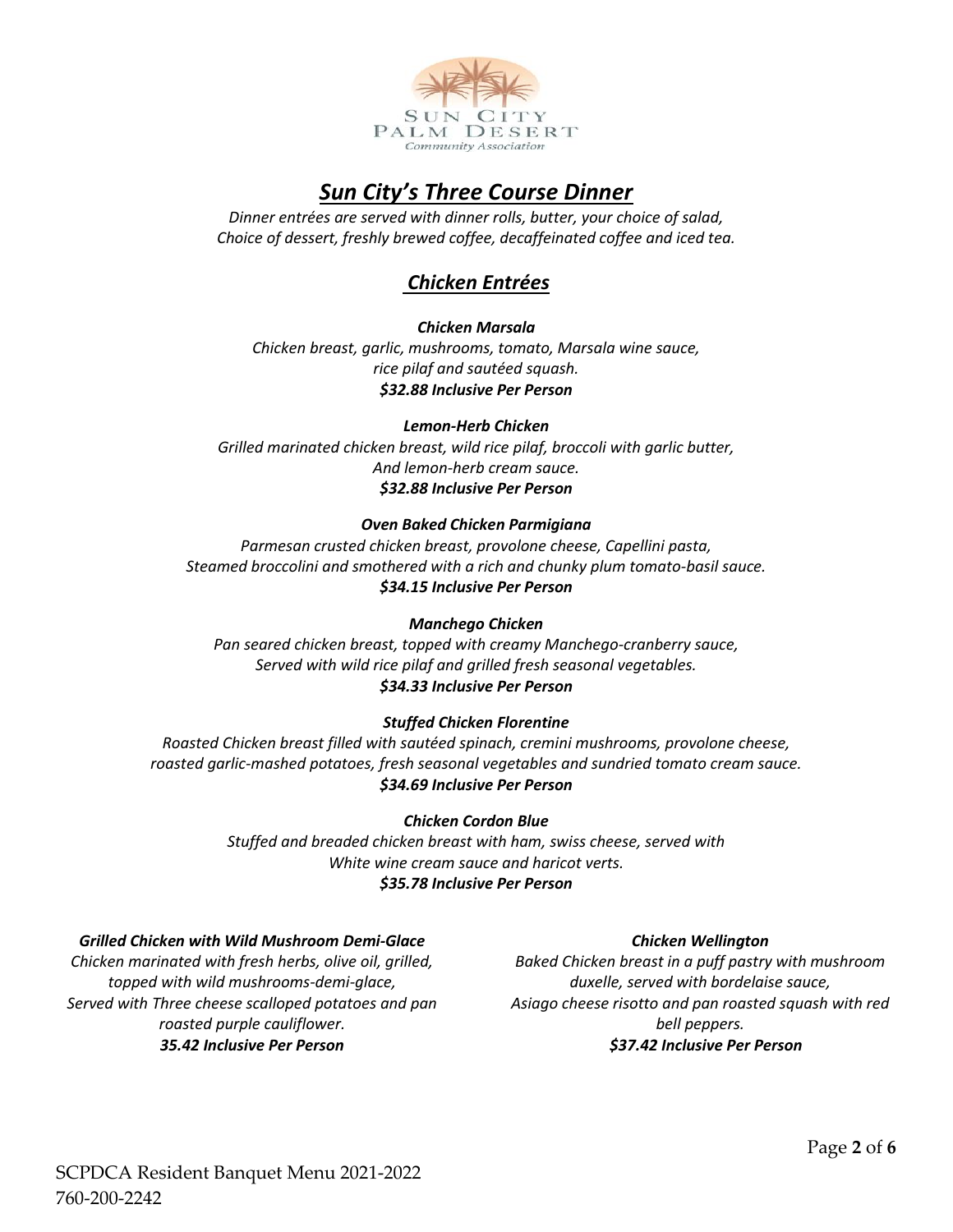

# *Sun City's Three Course Dinner*

*Dinner entrées are served with dinner rolls, butter, your choice of salad, Choice of dessert, freshly brewed coffee, decaffeinated coffee and iced tea.*

# *Chicken Entrées*

#### *Chicken Marsala*

*Chicken breast, garlic, mushrooms, tomato, Marsala wine sauce, rice pilaf and sautéed squash. \$32.88 Inclusive Per Person*

#### *Lemon-Herb Chicken*

*Grilled marinated chicken breast, wild rice pilaf, broccoli with garlic butter, And lemon-herb cream sauce. \$32.88 Inclusive Per Person*

#### *Oven Baked Chicken Parmigiana*

*Parmesan crusted chicken breast, provolone cheese, Capellini pasta, Steamed broccolini and smothered with a rich and chunky plum tomato-basil sauce. \$34.15 Inclusive Per Person*

#### *Manchego Chicken*

*Pan seared chicken breast, topped with creamy Manchego-cranberry sauce, Served with wild rice pilaf and grilled fresh seasonal vegetables. \$34.33 Inclusive Per Person*

# *Stuffed Chicken Florentine*

*Roasted Chicken breast filled with sautéed spinach, cremini mushrooms, provolone cheese, roasted garlic-mashed potatoes, fresh seasonal vegetables and sundried tomato cream sauce. \$34.69 Inclusive Per Person*

#### *Chicken Cordon Blue*

*Stuffed and breaded chicken breast with ham, swiss cheese, served with White wine cream sauce and haricot verts. \$35.78 Inclusive Per Person*

#### *Grilled Chicken with Wild Mushroom Demi-Glace*

*Chicken marinated with fresh herbs, olive oil, grilled, topped with wild mushrooms-demi-glace, Served with Three cheese scalloped potatoes and pan roasted purple cauliflower. 35.42 Inclusive Per Person*

#### *Chicken Wellington*

*Baked Chicken breast in a puff pastry with mushroom duxelle, served with bordelaise sauce, Asiago cheese risotto and pan roasted squash with red bell peppers. \$37.42 Inclusive Per Person*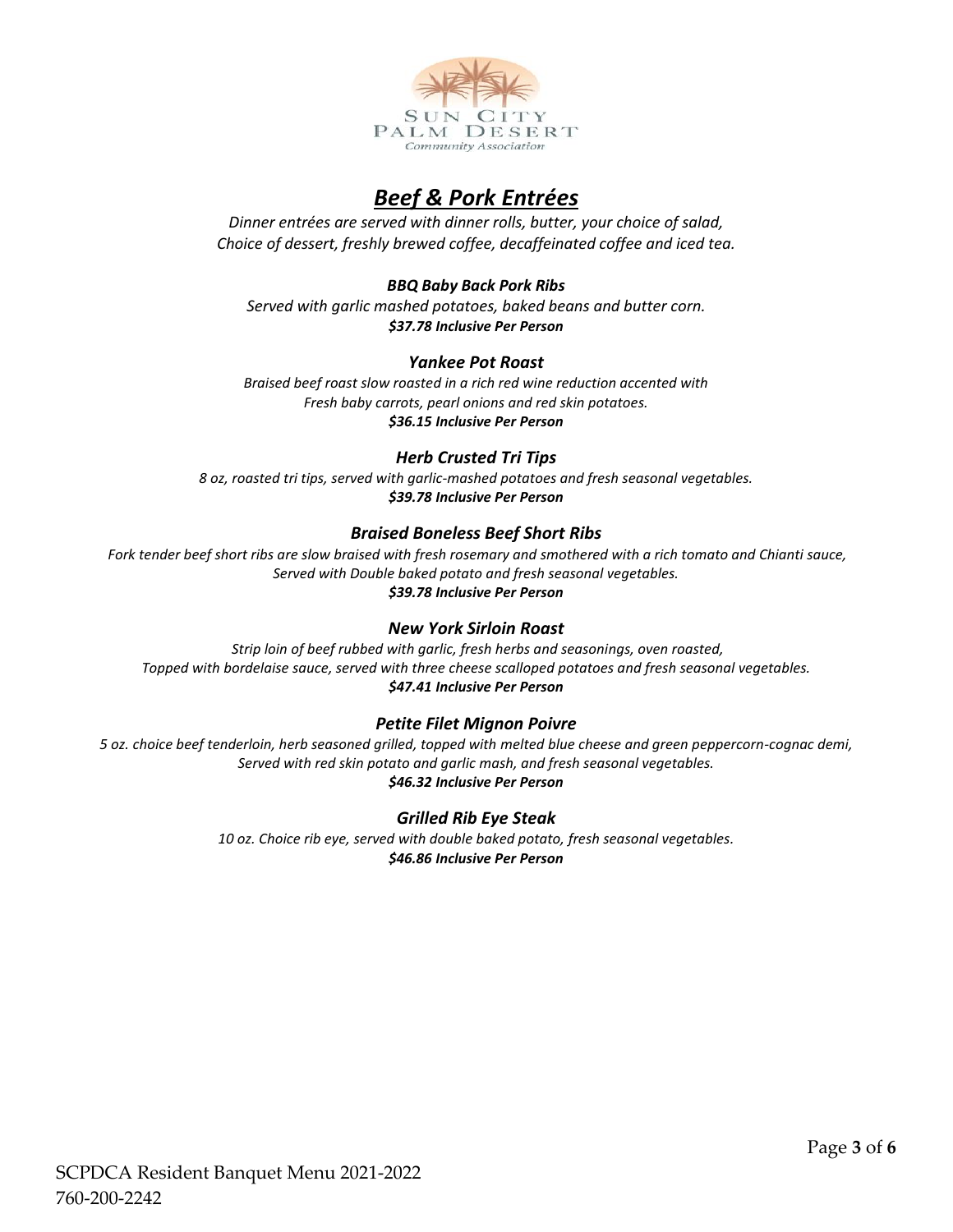

# *Beef & Pork Entrées*

*Dinner entrées are served with dinner rolls, butter, your choice of salad, Choice of dessert, freshly brewed coffee, decaffeinated coffee and iced tea.*

*BBQ Baby Back Pork Ribs Served with garlic mashed potatoes, baked beans and butter corn. \$37.78 Inclusive Per Person*

## *Yankee Pot Roast*

*Braised beef roast slow roasted in a rich red wine reduction accented with Fresh baby carrots, pearl onions and red skin potatoes. \$36.15 Inclusive Per Person*

#### *Herb Crusted Tri Tips*

*8 oz, roasted tri tips, served with garlic-mashed potatoes and fresh seasonal vegetables. \$39.78 Inclusive Per Person*

## *Braised Boneless Beef Short Ribs*

Fork tender beef short ribs are slow braised with fresh rosemary and smothered with a rich tomato and Chianti sauce, *Served with Double baked potato and fresh seasonal vegetables. \$39.78 Inclusive Per Person*

#### *New York Sirloin Roast*

*Strip loin of beef rubbed with garlic, fresh herbs and seasonings, oven roasted, Topped with bordelaise sauce, served with three cheese scalloped potatoes and fresh seasonal vegetables. \$47.41 Inclusive Per Person*

#### *Petite Filet Mignon Poivre*

*5 oz. choice beef tenderloin, herb seasoned grilled, topped with melted blue cheese and green peppercorn-cognac demi, Served with red skin potato and garlic mash, and fresh seasonal vegetables. \$46.32 Inclusive Per Person*

#### *Grilled Rib Eye Steak*

*10 oz. Choice rib eye, served with double baked potato, fresh seasonal vegetables. \$46.86 Inclusive Per Person*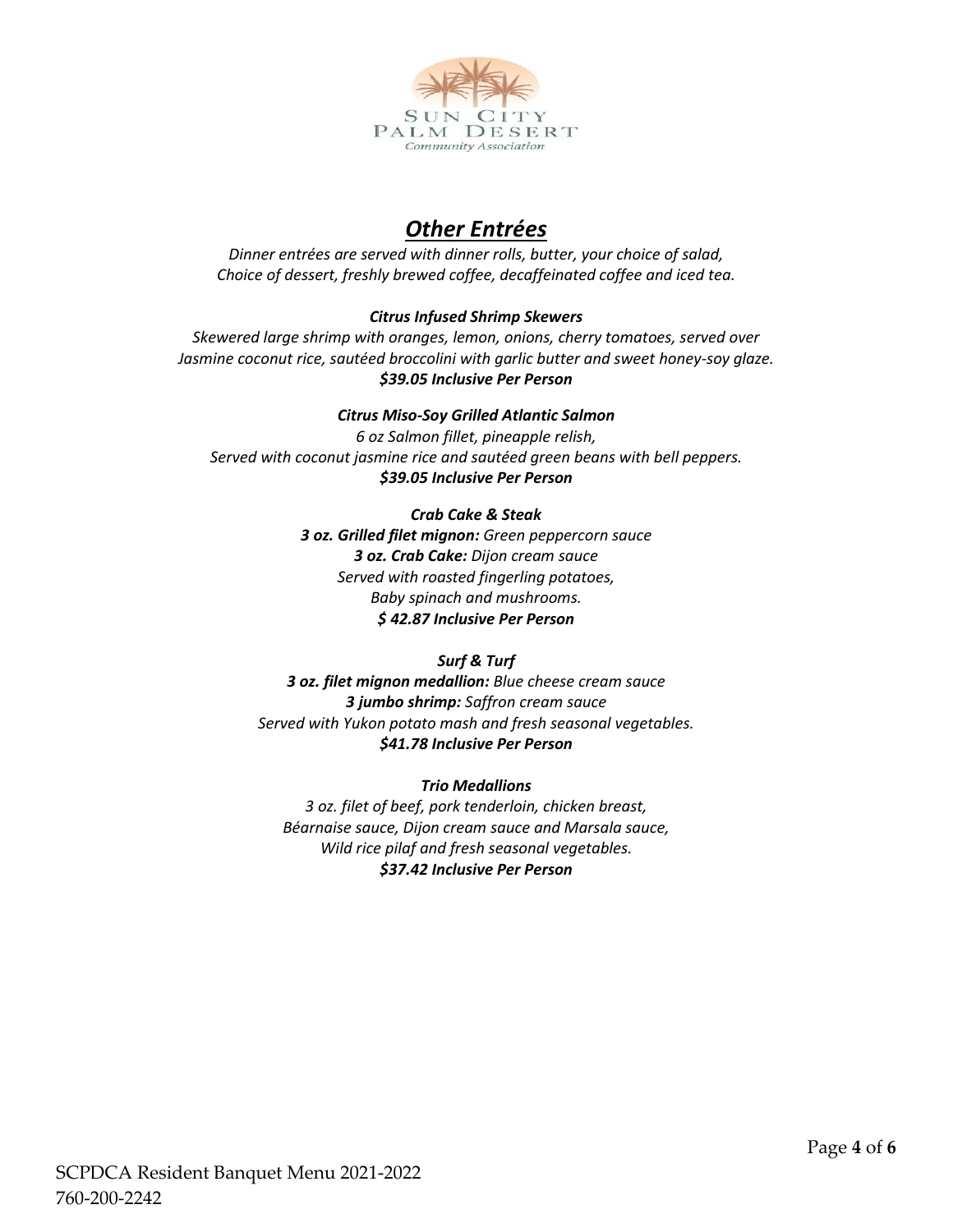

# *Other Entrées*

*Dinner entrées are served with dinner rolls, butter, your choice of salad, Choice of dessert, freshly brewed coffee, decaffeinated coffee and iced tea.*

## *Citrus Infused Shrimp Skewers*

*Skewered large shrimp with oranges, lemon, onions, cherry tomatoes, served over Jasmine coconut rice, sautéed broccolini with garlic butter and sweet honey-soy glaze. \$39.05 Inclusive Per Person* 

#### *Citrus Miso-Soy Grilled Atlantic Salmon*

*6 oz Salmon fillet, pineapple relish, Served with coconut jasmine rice and sautéed green beans with bell peppers. \$39.05 Inclusive Per Person*

#### *Crab Cake & Steak*

*3 oz. Grilled filet mignon: Green peppercorn sauce 3 oz. Crab Cake: Dijon cream sauce Served with roasted fingerling potatoes, Baby spinach and mushrooms. \$ 42.87 Inclusive Per Person*

#### *Surf & Turf*

*3 oz. filet mignon medallion: Blue cheese cream sauce 3 jumbo shrimp: Saffron cream sauce Served with Yukon potato mash and fresh seasonal vegetables. \$41.78 Inclusive Per Person*

#### *Trio Medallions*

*3 oz. filet of beef, pork tenderloin, chicken breast, Béarnaise sauce, Dijon cream sauce and Marsala sauce, Wild rice pilaf and fresh seasonal vegetables. \$37.42 Inclusive Per Person*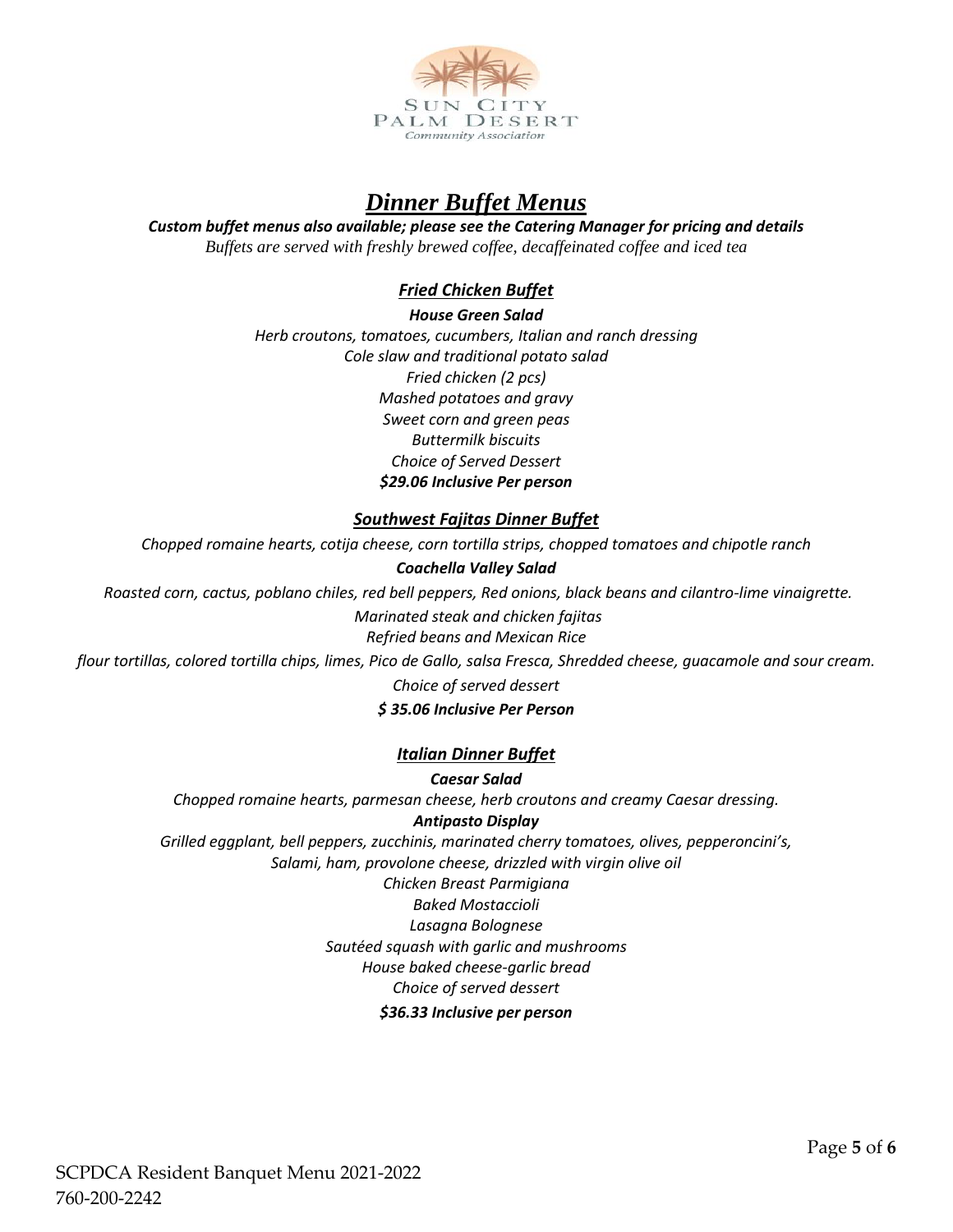

# *Dinner Buffet Menus*

#### *Custom buffet menus also available; please see the Catering Manager for pricing and details Buffets are served with freshly brewed coffee, decaffeinated coffee and iced tea*

# *Fried Chicken Buffet*

*House Green Salad Herb croutons, tomatoes, cucumbers, Italian and ranch dressing Cole slaw and traditional potato salad Fried chicken (2 pcs) Mashed potatoes and gravy Sweet corn and green peas Buttermilk biscuits Choice of Served Dessert \$29.06 Inclusive Per person*

## *Southwest Fajitas Dinner Buffet*

*Chopped romaine hearts, cotija cheese, corn tortilla strips, chopped tomatoes and chipotle ranch*

#### *Coachella Valley Salad*

*Roasted corn, cactus, poblano chiles, red bell peppers, Red onions, black beans and cilantro-lime vinaigrette.*

*Marinated steak and chicken fajitas*

*Refried beans and Mexican Rice*

*flour tortillas, colored tortilla chips, limes, Pico de Gallo, salsa Fresca, Shredded cheese, guacamole and sour cream. Choice of served dessert*

#### *\$ 35.06 Inclusive Per Person*

#### *Italian Dinner Buffet*

*Caesar Salad Chopped romaine hearts, parmesan cheese, herb croutons and creamy Caesar dressing. Antipasto Display*

*Grilled eggplant, bell peppers, zucchinis, marinated cherry tomatoes, olives, pepperoncini's, Salami, ham, provolone cheese, drizzled with virgin olive oil Chicken Breast Parmigiana Baked Mostaccioli Lasagna Bolognese Sautéed squash with garlic and mushrooms House baked cheese-garlic bread*

#### *Choice of served dessert*

#### *\$36.33 Inclusive per person*